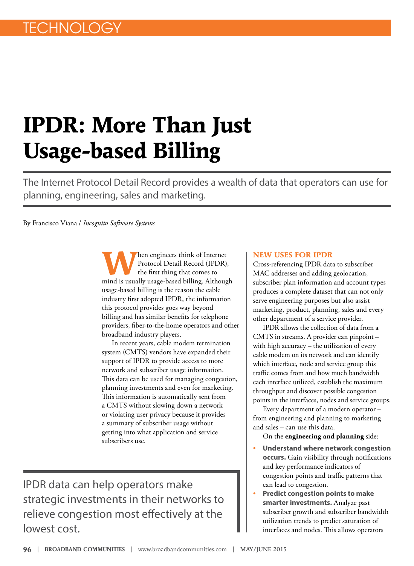## **IPDR: More Than Just Usage-based Billing**

The Internet Protocol Detail Record provides a wealth of data that operators can use for planning, engineering, sales and marketing.

By Francisco Viana / *Incognito Software Systems*

**W**hen engineers think of Internet<br>Protocol Detail Record (IPDR),<br>the first thing that comes to Protocol Detail Record (IPDR), the first thing that comes to mind is usually usage-based billing. Although usage-based billing is the reason the cable industry first adopted IPDR, the information this protocol provides goes way beyond billing and has similar benefits for telephone providers, fiber-to-the-home operators and other broadband industry players.

In recent years, cable modem termination system (CMTS) vendors have expanded their support of IPDR to provide access to more network and subscriber usage information. This data can be used for managing congestion, planning investments and even for marketing. This information is automatically sent from a CMTS without slowing down a network or violating user privacy because it provides a summary of subscriber usage without getting into what application and service subscribers use.

IPDR data can help operators make strategic investments in their networks to relieve congestion most effectively at the lowest cost.

## **NEW USES FOR IPDR**

Cross-referencing IPDR data to subscriber MAC addresses and adding geolocation, subscriber plan information and account types produces a complete dataset that can not only serve engineering purposes but also assist marketing, product, planning, sales and every other department of a service provider.

IPDR allows the collection of data from a CMTS in streams. A provider can pinpoint – with high accuracy – the utilization of every cable modem on its network and can identify which interface, node and service group this traffic comes from and how much bandwidth each interface utilized, establish the maximum throughput and discover possible congestion points in the interfaces, nodes and service groups.

Every department of a modern operator – from engineering and planning to marketing and sales – can use this data.

On the **engineering and planning** side:

- **Understand where network congestion occurs.** Gain visibility through notifications and key performance indicators of congestion points and traffic patterns that can lead to congestion.
- **Predict congestion points to make smarter investments.** Analyze past subscriber growth and subscriber bandwidth utilization trends to predict saturation of interfaces and nodes. This allows operators